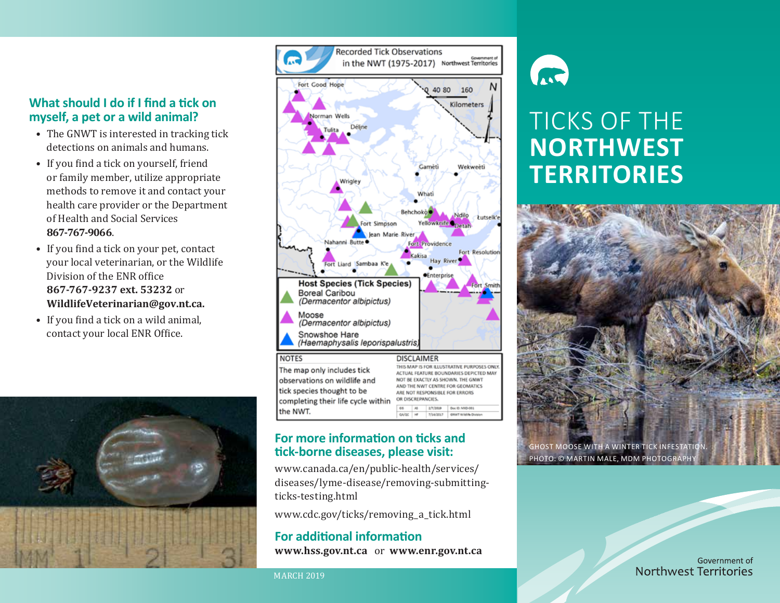#### **What should I do if I find a tick on myself, a pet or a wild animal?**

- The GNWT is interested in tracking tick detections on animals and humans.
- If you find a tick on yourself, friend or family member, utilize appropriate methods to remove it and contact your health care provider or the Department of Health and Social Services **867-767-9066**.
- If you find a tick on your pet, contact your local veterinarian, or the Wildlife Division of the ENR office **867-767-9237 ext. 53232** or **WildlifeVeterinarian@gov.nt.ca.**
- If you find a tick on a wild animal, contact your local ENR Office.





#### **For more information on ticks and tick-borne diseases, please visit:**

www.canada.ca/en/public-health/services/ diseases/lyme-disease/removing-submittingticks-testing.html

GAIGE HF TISAISSLY GWATWIAIA DIA

www.cdc.gov/ticks/removing\_a\_tick.html

#### **For additional information www.hss.gov.nt.ca** or **www.enr.gov.nt.ca**

MARCH 2019

the NWT.



# TICKS OF THE **NORTHWEST TERRITORIES**



Government of Northwest Territories